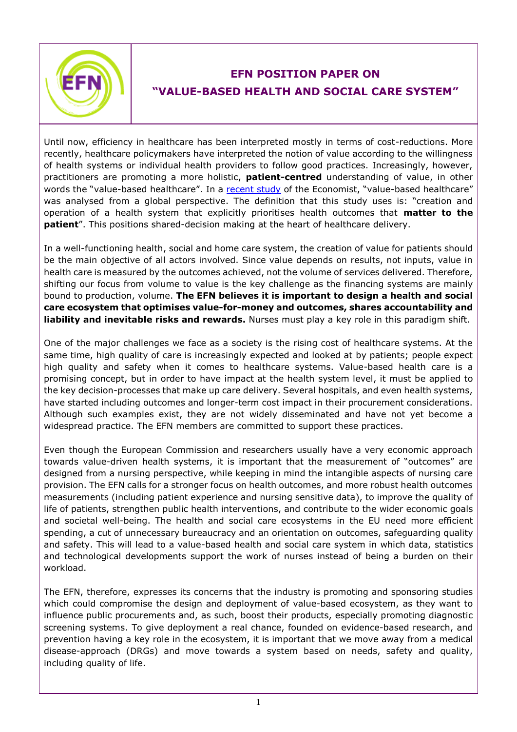

## **EFN POSITION PAPER ON "VALUE-BASED HEALTH AND SOCIAL CARE SYSTEM"**

Until now, efficiency in healthcare has been interpreted mostly in terms of cost-reductions. More recently, healthcare policymakers have interpreted the notion of value according to the willingness of health systems or individual health providers to follow good practices. Increasingly, however, practitioners are promoting a more holistic, **patient-centred** understanding of value, in other words the "value-based healthcare". In a [recent study](http://vbhcglobalassessment.eiu.com/executive-summary/) of the Economist, "value-based healthcare" was analysed from a global perspective. The definition that this study uses is: "creation and operation of a health system that explicitly prioritises health outcomes that **matter to the patient**". This positions shared-decision making at the heart of healthcare delivery.

In a well-functioning health, social and home care system, the creation of value for patients should be the main objective of all actors involved. Since value depends on results, not inputs, value in health care is measured by the outcomes achieved, not the volume of services delivered. Therefore, shifting our focus from volume to value is the key challenge as the financing systems are mainly bound to production, volume. **The EFN believes it is important to design a health and social care ecosystem that optimises value-for-money and outcomes, shares accountability and liability and inevitable risks and rewards.** Nurses must play a key role in this paradigm shift.

One of the major challenges we face as a society is the rising cost of healthcare systems. At the same time, high quality of care is increasingly expected and looked at by patients; people expect high quality and safety when it comes to healthcare systems. Value-based health care is a promising concept, but in order to have impact at the health system level, it must be applied to the key decision-processes that make up care delivery. Several hospitals, and even health systems, have started including outcomes and longer-term cost impact in their procurement considerations. Although such examples exist, they are not widely disseminated and have not yet become a widespread practice. The EFN members are committed to support these practices.

Even though the European Commission and researchers usually have a very economic approach towards value-driven health systems, it is important that the measurement of "outcomes" are designed from a nursing perspective, while keeping in mind the intangible aspects of nursing care provision. The EFN calls for a stronger focus on health outcomes, and more robust health outcomes measurements (including patient experience and nursing sensitive data), to improve the quality of life of patients, strengthen public health interventions, and contribute to the wider economic goals and societal well-being. The health and social care ecosystems in the EU need more efficient spending, a cut of unnecessary bureaucracy and an orientation on outcomes, safeguarding quality and safety. This will lead to a value-based health and social care system in which data, statistics and technological developments support the work of nurses instead of being a burden on their workload.

The EFN, therefore, expresses its concerns that the industry is promoting and sponsoring studies which could compromise the design and deployment of value-based ecosystem, as they want to influence public procurements and, as such, boost their products, especially promoting diagnostic screening systems. To give deployment a real chance, founded on evidence-based research, and prevention having a key role in the ecosystem, it is important that we move away from a medical disease-approach (DRGs) and move towards a system based on needs, safety and quality, including quality of life.